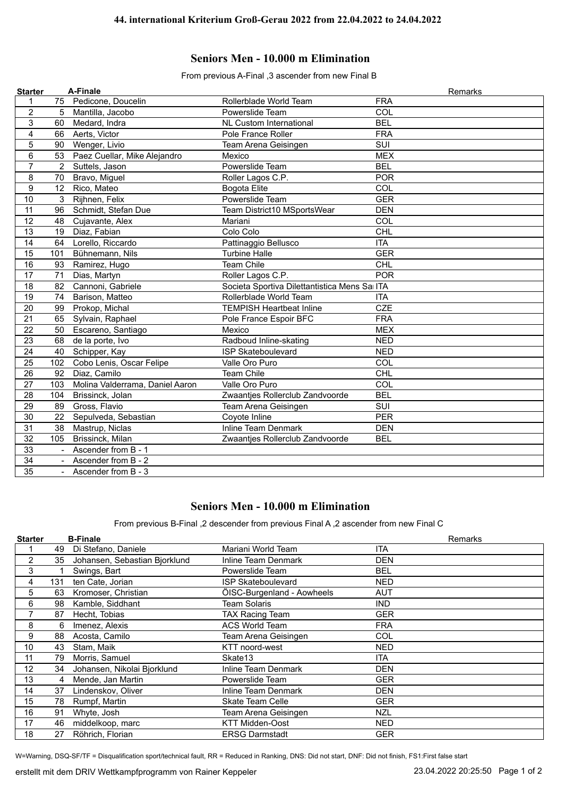## **Seniors Men - 10.000 m Elimination**

From previous A-Final ,3 ascender from new Final B

| 1               |             |                                 |                                              | Remarks    |
|-----------------|-------------|---------------------------------|----------------------------------------------|------------|
|                 |             | 75 Pedicone, Doucelin           | Rollerblade World Team                       | <b>FRA</b> |
| $\overline{c}$  | 5           | Mantilla, Jacobo                | Powerslide Team                              | COL        |
| 3               | 60          | Medard, Indra                   | <b>NL Custom International</b>               | <b>BEL</b> |
| 4               | 66          | Aerts, Victor                   | Pole France Roller                           | <b>FRA</b> |
| 5               | 90          | Wenger, Livio                   | Team Arena Geisingen                         | SUI        |
| 6               | 53          | Paez Cuellar, Mike Alejandro    | Mexico                                       | <b>MEX</b> |
| $\overline{7}$  | $2^{\circ}$ | Suttels, Jason                  | Powerslide Team                              | <b>BEL</b> |
| 8               | 70          | Bravo, Miguel                   | Roller Lagos C.P.                            | <b>POR</b> |
| 9               | 12          | Rico, Mateo                     | <b>Bogota Elite</b>                          | COL        |
| 10              | 3           | Rijhnen, Felix                  | Powerslide Team                              | <b>GER</b> |
| 11              | 96          | Schmidt, Stefan Due             | Team District10 MSportsWear                  | <b>DEN</b> |
| 12              | 48          | Cujavante, Alex                 | Mariani                                      | COL        |
| 13              | 19          | Diaz, Fabian                    | Colo Colo                                    | CHL        |
| 14              |             | 64 Lorello, Riccardo            | Pattinaggio Bellusco                         | <b>ITA</b> |
| 15              | 101         | Bühnemann, Nils                 | <b>Turbine Halle</b>                         | <b>GER</b> |
| $\overline{16}$ | 93          | Ramirez, Hugo                   | <b>Team Chile</b>                            | CHL        |
| 17              | 71          | Dias, Martyn                    | Roller Lagos C.P.                            | <b>POR</b> |
| 18              | 82          | Cannoni, Gabriele               | Societa Sportiva Dilettantistica Mens Sa ITA |            |
| 19              | 74          | Barison, Matteo                 | Rollerblade World Team                       | <b>ITA</b> |
| 20              | 99          | Prokop, Michal                  | <b>TEMPISH Heartbeat Inline</b>              | <b>CZE</b> |
| 21              | 65          | Sylvain, Raphael                | Pole France Espoir BFC                       | <b>FRA</b> |
| 22              | 50          | Escareno, Santiago              | Mexico                                       | <b>MEX</b> |
| 23              | 68          | de la porte, Ivo                | Radboud Inline-skating                       | <b>NED</b> |
| 24              | 40          | Schipper, Kay                   | <b>ISP Skateboulevard</b>                    | <b>NED</b> |
| 25              | 102         | Cobo Lenis, Oscar Felipe        | Valle Oro Puro                               | COL        |
| 26              | 92          | Diaz, Camilo                    | <b>Team Chile</b>                            | <b>CHL</b> |
| 27              | 103         | Molina Valderrama, Daniel Aaron | Valle Oro Puro                               | COL        |
| 28              | 104         | Brissinck, Jolan                | Zwaantjes Rollerclub Zandvoorde              | <b>BEL</b> |
| 29              | 89          | Gross, Flavio                   | Team Arena Geisingen                         | SUI        |
| 30              |             | 22 Sepulveda, Sebastian         | Coyote Inline                                | <b>PER</b> |
| $\overline{31}$ | 38          | Mastrup, Niclas                 | <b>Inline Team Denmark</b>                   | <b>DEN</b> |
| 32              | 105         | Brissinck, Milan                | Zwaantjes Rollerclub Zandvoorde              | <b>BEL</b> |
| 33              |             | Ascender from B - 1             |                                              |            |
| 34              |             | Ascender from B - 2             |                                              |            |
| $\overline{35}$ | $\sim$      | Ascender from B - 3             |                                              |            |

## **Seniors Men - 10.000 m Elimination**

From previous B-Final ,2 descender from previous Final A ,2 ascender from new Final C

| <b>Starter</b> |     | <b>B-Finale</b>               |                            | Remarks    |
|----------------|-----|-------------------------------|----------------------------|------------|
|                | 49  | Di Stefano, Daniele           | Mariani World Team         | <b>ITA</b> |
| 2              | 35  | Johansen, Sebastian Bjorklund | Inline Team Denmark        | DEN        |
| 3              |     | Swings, Bart                  | Powerslide Team            | BEL        |
| 4              | 131 | ten Cate, Jorian              | <b>ISP Skateboulevard</b>  | NED        |
| 5              | 63  | Kromoser, Christian           | ÖISC-Burgenland - Aowheels | <b>AUT</b> |
| 6              | 98  | Kamble, Siddhant              | <b>Team Solaris</b>        | <b>IND</b> |
| 7              | 87  | Hecht, Tobias                 | <b>TAX Racing Team</b>     | <b>GER</b> |
| 8              | 6   | Imenez, Alexis                | <b>ACS World Team</b>      | <b>FRA</b> |
| 9              | 88  | Acosta, Camilo                | Team Arena Geisingen       | COL        |
| 10             | 43  | Stam, Maik                    | KTT noord-west             | NED        |
| 11             | 79  | Morris, Samuel                | Skate13                    | <b>ITA</b> |
| 12             | 34  | Johansen, Nikolai Bjorklund   | Inline Team Denmark        | DEN        |
| 13             | 4   | Mende, Jan Martin             | Powerslide Team            | <b>GER</b> |
| 14             | 37  | Lindenskov, Oliver            | Inline Team Denmark        | DEN        |
| 15             | 78  | Rumpf, Martin                 | <b>Skate Team Celle</b>    | <b>GER</b> |
| 16             | 91  | Whyte, Josh                   | Team Arena Geisingen       | <b>NZL</b> |
| 17             | 46  | middelkoop, marc              | <b>KTT Midden-Oost</b>     | <b>NED</b> |
| 18             | 27  | Röhrich, Florian              | <b>ERSG Darmstadt</b>      | <b>GER</b> |

W=Warning, DSQ-SF/TF = Disqualification sport/technical fault, RR = Reduced in Ranking, DNS: Did not start, DNF: Did not finish, FS1:First false start